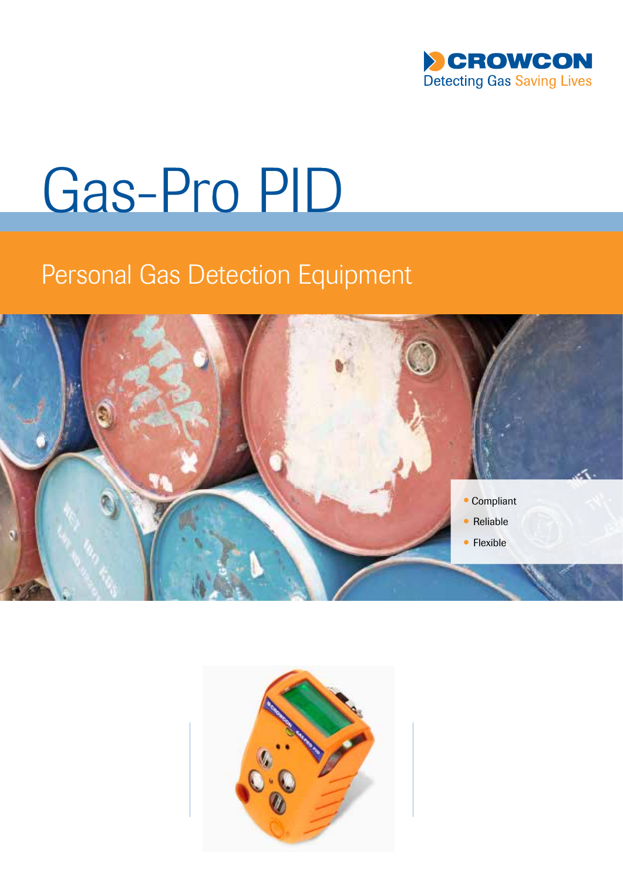

# Gas-Pro PID

## Personal Gas Detection Equipment



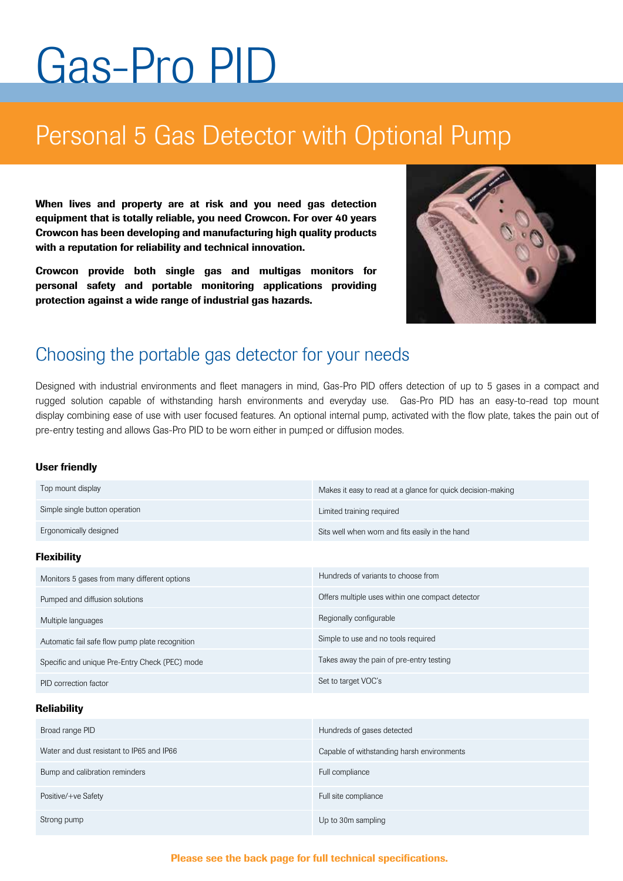## Gas-Pro PID

### Personal 5 Gas Detector with Optional Pump

When lives and property are at risk and you need gas detection equipment that is totally reliable, you need Crowcon. For over 40 years Crowcon has been developing and manufacturing high quality products with a reputation for reliability and technical innovation.

Crowcon provide both single gas and multigas monitors for personal safety and portable monitoring applications providing protection against a wide range of industrial gas hazards.



#### Choosing the portable gas detector for your needs

Designed with industrial environments and fleet managers in mind, Gas-Pro PID offers detection of up to 5 gases in a compact and rugged solution capable of withstanding harsh environments and everyday use. Gas-Pro PID has an easy-to-read top mount display combining ease of use with user focused features. An optional internal pump, activated with the flow plate, takes the pain out of pre-entry testing and allows Gas-Pro PID to be worn either in pumped or diffusion modes.

#### User friendly

Strong pump

| Top mount display                               | Makes it easy to read at a glance for quick decision-making |  |
|-------------------------------------------------|-------------------------------------------------------------|--|
| Simple single button operation                  | Limited training required                                   |  |
| Ergonomically designed                          | Sits well when worn and fits easily in the hand             |  |
| <b>Flexibility</b>                              |                                                             |  |
| Monitors 5 gases from many different options    | Hundreds of variants to choose from                         |  |
| Pumped and diffusion solutions                  | Offers multiple uses within one compact detector            |  |
| Multiple languages                              | Regionally configurable                                     |  |
| Automatic fail safe flow pump plate recognition | Simple to use and no tools required                         |  |
| Specific and unique Pre-Entry Check (PEC) mode  | Takes away the pain of pre-entry testing                    |  |
| PID correction factor                           | Set to target VOC's                                         |  |
| <b>Reliability</b>                              |                                                             |  |
| Broad range PID                                 | Hundreds of gases detected                                  |  |
| Water and dust resistant to IP65 and IP66       | Capable of withstanding harsh environments                  |  |
| Bump and calibration reminders                  | Full compliance                                             |  |
| Positive/+ve Safety                             | Full site compliance                                        |  |

#### Please see the back page for full technical specifications.

Up to 30m sampling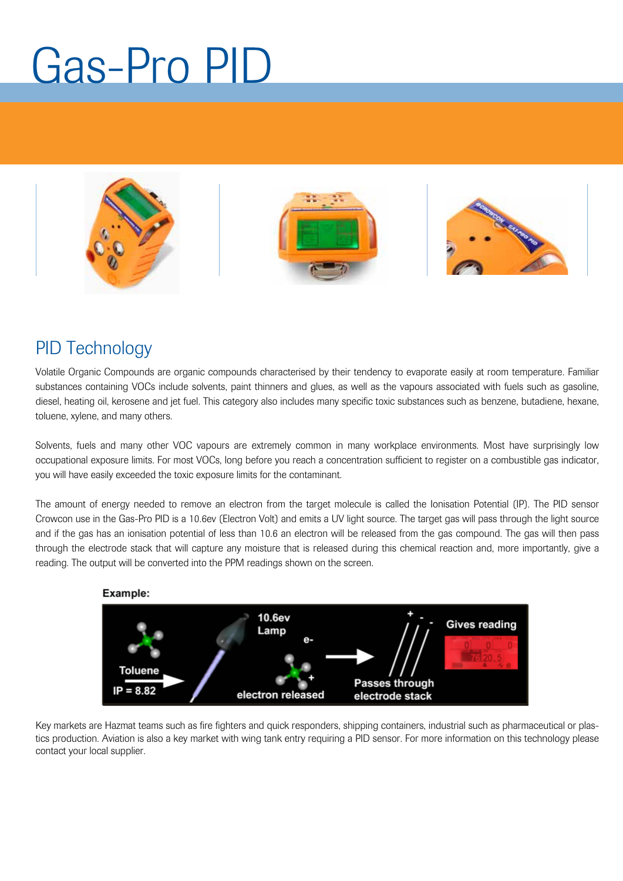## Gas-Pro PID



### PID Technology

Volatile Organic Compounds are organic compounds characterised by their tendency to evaporate easily at room temperature. Familiar substances containing VOCs include solvents, paint thinners and glues, as well as the vapours associated with fuels such as gasoline, diesel, heating oil, kerosene and jet fuel. This category also includes many specific toxic substances such as benzene, butadiene, hexane, toluene, xylene, and many others.

Solvents, fuels and many other VOC vapours are extremely common in many workplace environments. Most have surprisingly low occupational exposure limits. For most VOCs, long before you reach a concentration sufficient to register on a combustible gas indicator, you will have easily exceeded the toxic exposure limits for the contaminant.

The amount of energy needed to remove an electron from the target molecule is called the Ionisation Potential (IP). The PID sensor Crowcon use in the Gas-Pro PID is a 10.6ev (Electron Volt) and emits a UV light source. The target gas will pass through the light source and if the gas has an ionisation potential of less than 10.6 an electron will be released from the gas compound. The gas will then pass through the electrode stack that will capture any moisture that is released during this chemical reaction and, more importantly, give a reading. The output will be converted into the PPM readings shown on the screen.



Key markets are Hazmat teams such as fire fighters and quick responders, shipping containers, industrial such as pharmaceutical or plastics production. Aviation is also a key market with wing tank entry requiring a PID sensor. For more information on this technology please contact your local supplier.